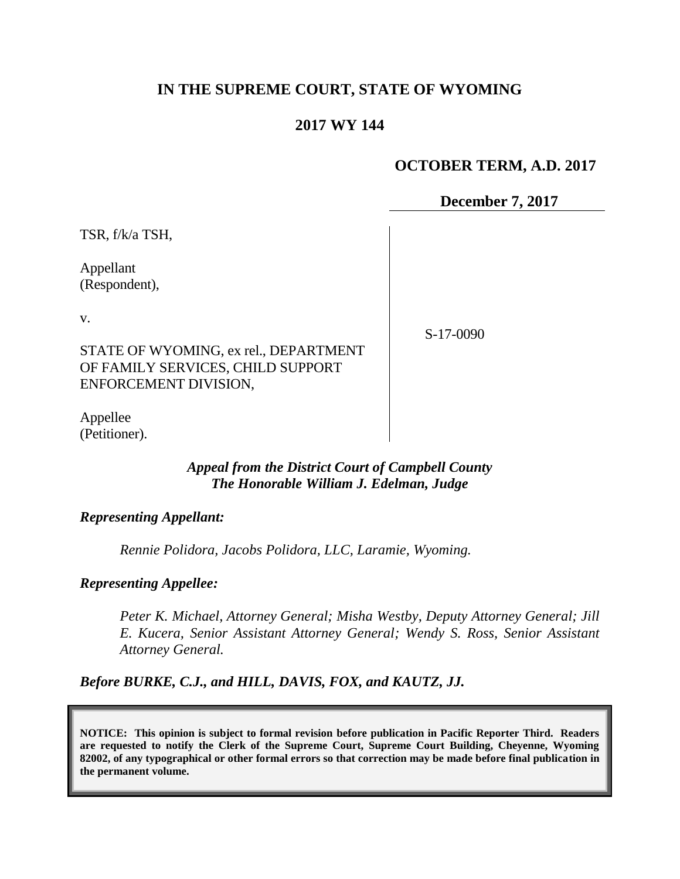# **IN THE SUPREME COURT, STATE OF WYOMING**

## **2017 WY 144**

### **OCTOBER TERM, A.D. 2017**

**December 7, 2017**

TSR, f/k/a TSH,

Appellant (Respondent),

v.

S-17-0090

STATE OF WYOMING, ex rel., DEPARTMENT OF FAMILY SERVICES, CHILD SUPPORT ENFORCEMENT DIVISION,

Appellee (Petitioner).

#### *Appeal from the District Court of Campbell County The Honorable William J. Edelman, Judge*

#### *Representing Appellant:*

*Rennie Polidora, Jacobs Polidora, LLC, Laramie, Wyoming.*

*Representing Appellee:*

*Peter K. Michael, Attorney General; Misha Westby, Deputy Attorney General; Jill E. Kucera, Senior Assistant Attorney General; Wendy S. Ross, Senior Assistant Attorney General.*

*Before BURKE, C.J., and HILL, DAVIS, FOX, and KAUTZ, JJ.*

**NOTICE: This opinion is subject to formal revision before publication in Pacific Reporter Third. Readers are requested to notify the Clerk of the Supreme Court, Supreme Court Building, Cheyenne, Wyoming 82002, of any typographical or other formal errors so that correction may be made before final publication in the permanent volume.**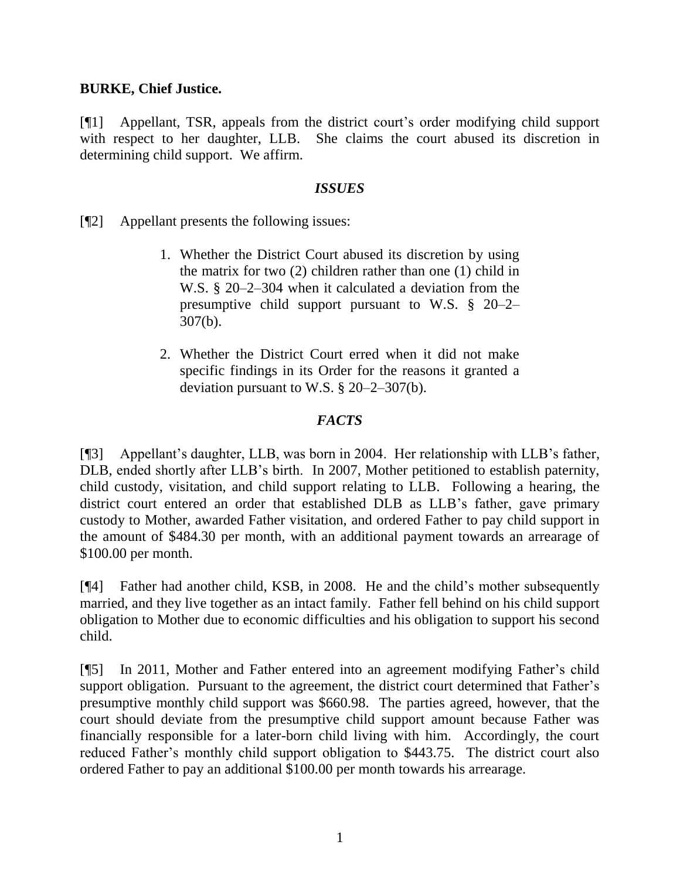### **BURKE, Chief Justice.**

[¶1] Appellant, TSR, appeals from the district court's order modifying child support with respect to her daughter, LLB. She claims the court abused its discretion in determining child support. We affirm.

### *ISSUES*

[¶2] Appellant presents the following issues:

- 1. Whether the District Court abused its discretion by using the matrix for two (2) children rather than one (1) child in W.S. § 20–2–304 when it calculated a deviation from the presumptive child support pursuant to W.S. § 20–2– 307(b).
- 2. Whether the District Court erred when it did not make specific findings in its Order for the reasons it granted a deviation pursuant to W.S. § 20–2–307(b).

# *FACTS*

[¶3] Appellant's daughter, LLB, was born in 2004. Her relationship with LLB's father, DLB, ended shortly after LLB's birth. In 2007, Mother petitioned to establish paternity, child custody, visitation, and child support relating to LLB. Following a hearing, the district court entered an order that established DLB as LLB's father, gave primary custody to Mother, awarded Father visitation, and ordered Father to pay child support in the amount of \$484.30 per month, with an additional payment towards an arrearage of \$100.00 per month.

[¶4] Father had another child, KSB, in 2008. He and the child's mother subsequently married, and they live together as an intact family. Father fell behind on his child support obligation to Mother due to economic difficulties and his obligation to support his second child.

[¶5] In 2011, Mother and Father entered into an agreement modifying Father's child support obligation. Pursuant to the agreement, the district court determined that Father's presumptive monthly child support was \$660.98. The parties agreed, however, that the court should deviate from the presumptive child support amount because Father was financially responsible for a later-born child living with him. Accordingly, the court reduced Father's monthly child support obligation to \$443.75. The district court also ordered Father to pay an additional \$100.00 per month towards his arrearage.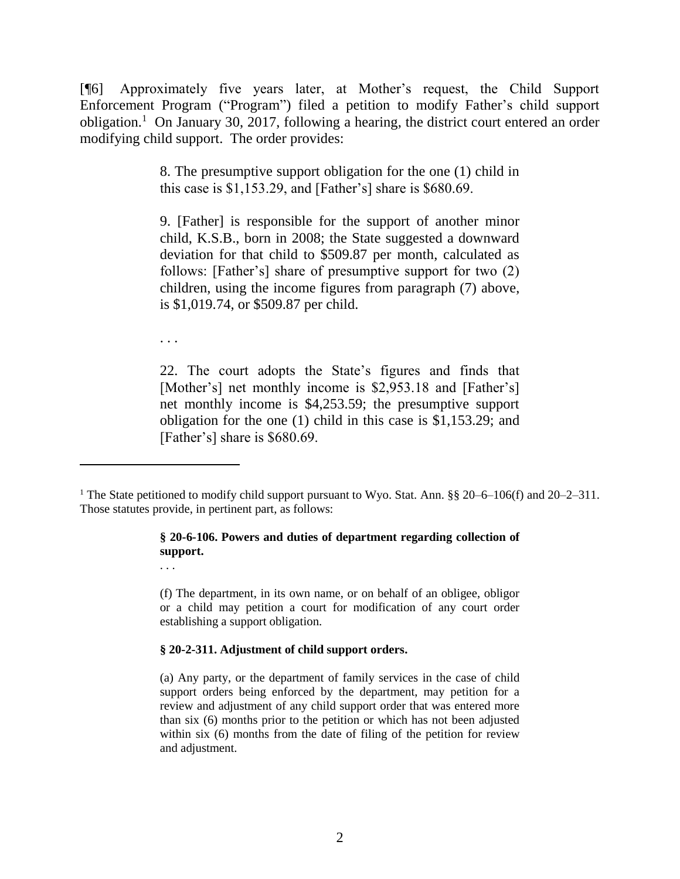[¶6] Approximately five years later, at Mother's request, the Child Support Enforcement Program ("Program") filed a petition to modify Father's child support obligation.<sup>1</sup> On January 30, 2017, following a hearing, the district court entered an order modifying child support. The order provides:

> 8. The presumptive support obligation for the one (1) child in this case is \$1,153.29, and [Father's] share is \$680.69.

> 9. [Father] is responsible for the support of another minor child, K.S.B., born in 2008; the State suggested a downward deviation for that child to \$509.87 per month, calculated as follows: [Father's] share of presumptive support for two (2) children, using the income figures from paragraph (7) above, is \$1,019.74, or \$509.87 per child.

. . .

. . .

22. The court adopts the State's figures and finds that [Mother's] net monthly income is \$2,953.18 and [Father's] net monthly income is \$4,253.59; the presumptive support obligation for the one (1) child in this case is \$1,153.29; and [Father's] share is \$680.69.

#### **§ 20-6-106. Powers and duties of department regarding collection of support.**

(f) The department, in its own name, or on behalf of an obligee, obligor or a child may petition a court for modification of any court order establishing a support obligation.

#### **§ 20-2-311. Adjustment of child support orders.**

(a) Any party, or the department of family services in the case of child support orders being enforced by the department, may petition for a review and adjustment of any child support order that was entered more than six (6) months prior to the petition or which has not been adjusted within six (6) months from the date of filing of the petition for review and adjustment.

<sup>&</sup>lt;sup>1</sup> The State petitioned to modify child support pursuant to Wyo. Stat. Ann. §§ 20–6–106(f) and 20–2–311. Those statutes provide, in pertinent part, as follows: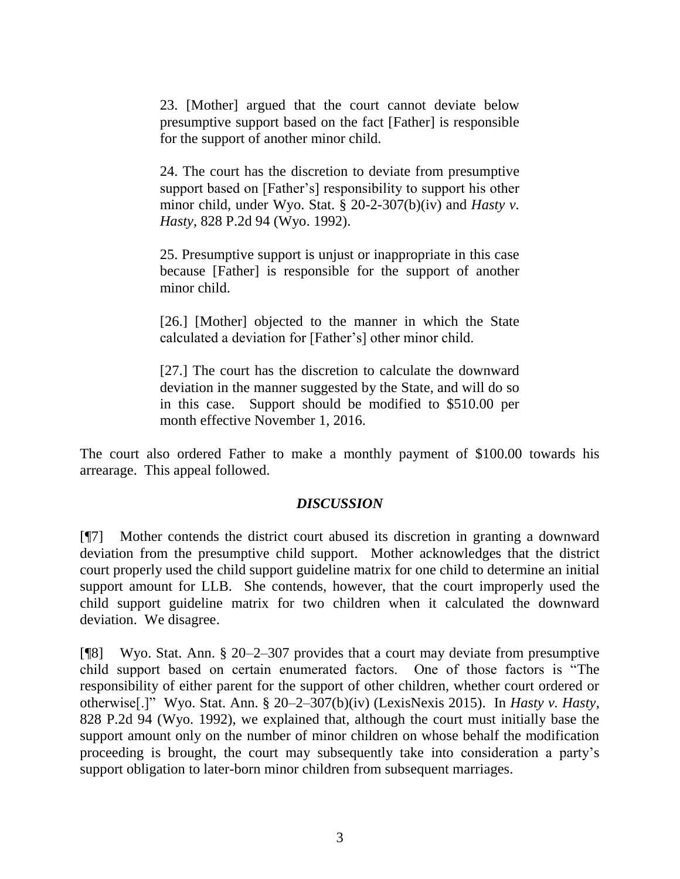23. [Mother] argued that the court cannot deviate below presumptive support based on the fact [Father] is responsible for the support of another minor child.

24. The court has the discretion to deviate from presumptive support based on [Father's] responsibility to support his other minor child, under Wyo. Stat. § 20-2-307(b)(iv) and *Hasty v. Hasty*, 828 P.2d 94 (Wyo. 1992).

25. Presumptive support is unjust or inappropriate in this case because [Father] is responsible for the support of another minor child.

[26.] [Mother] objected to the manner in which the State calculated a deviation for [Father's] other minor child.

[27.] The court has the discretion to calculate the downward deviation in the manner suggested by the State, and will do so in this case. Support should be modified to \$510.00 per month effective November 1, 2016.

The court also ordered Father to make a monthly payment of \$100.00 towards his arrearage. This appeal followed.

## *DISCUSSION*

[¶7] Mother contends the district court abused its discretion in granting a downward deviation from the presumptive child support. Mother acknowledges that the district court properly used the child support guideline matrix for one child to determine an initial support amount for LLB. She contends, however, that the court improperly used the child support guideline matrix for two children when it calculated the downward deviation. We disagree.

[¶8] Wyo. Stat. Ann. § 20–2–307 provides that a court may deviate from presumptive child support based on certain enumerated factors. One of those factors is "The responsibility of either parent for the support of other children, whether court ordered or otherwise[.]" Wyo. Stat. Ann. § 20–2–307(b)(iv) (LexisNexis 2015). In *Hasty v. Hasty*, 828 P.2d 94 (Wyo. 1992), we explained that, although the court must initially base the support amount only on the number of minor children on whose behalf the modification proceeding is brought, the court may subsequently take into consideration a party's support obligation to later-born minor children from subsequent marriages.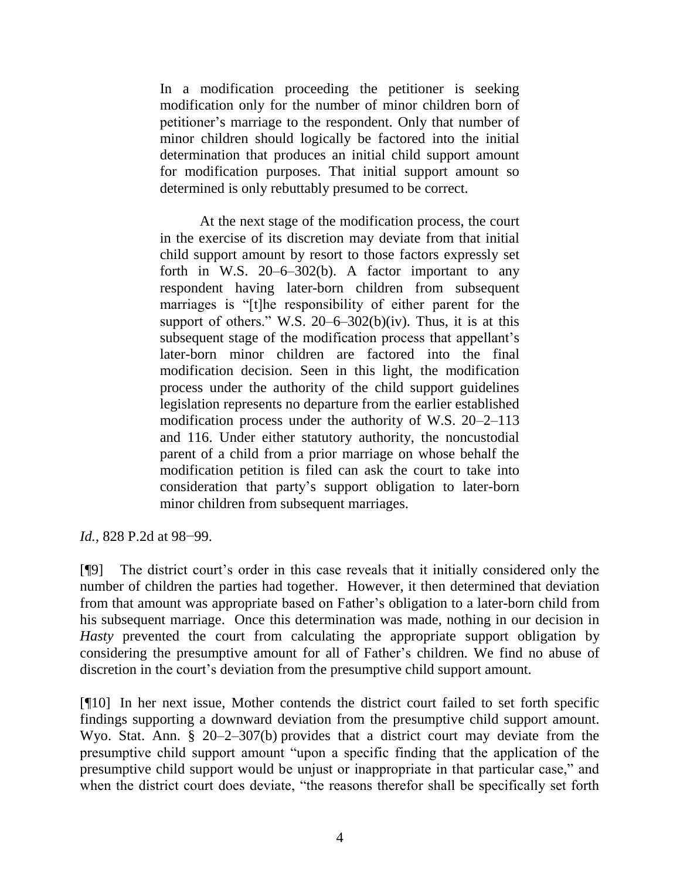In a modification proceeding the petitioner is seeking modification only for the number of minor children born of petitioner's marriage to the respondent. Only that number of minor children should logically be factored into the initial determination that produces an initial child support amount for modification purposes. That initial support amount so determined is only rebuttably presumed to be correct.

At the next stage of the modification process, the court in the exercise of its discretion may deviate from that initial child support amount by resort to those factors expressly set forth in W.S. 20–6–302(b). A factor important to any respondent having later-born children from subsequent marriages is "[t]he responsibility of either parent for the support of others." W.S.  $20-6-302(b)(iv)$ . Thus, it is at this subsequent stage of the modification process that appellant's later-born minor children are factored into the final modification decision. Seen in this light, the modification process under the authority of the child support guidelines legislation represents no departure from the earlier established modification process under the authority of W.S. 20–2–113 and 116. Under either statutory authority, the noncustodial parent of a child from a prior marriage on whose behalf the modification petition is filed can ask the court to take into consideration that party's support obligation to later-born minor children from subsequent marriages.

*Id.*, 828 P.2d at 98–99.

[¶9] The district court's order in this case reveals that it initially considered only the number of children the parties had together. However, it then determined that deviation from that amount was appropriate based on Father's obligation to a later-born child from his subsequent marriage. Once this determination was made, nothing in our decision in *Hasty* prevented the court from calculating the appropriate support obligation by considering the presumptive amount for all of Father's children. We find no abuse of discretion in the court's deviation from the presumptive child support amount.

[¶10] In her next issue, Mother contends the district court failed to set forth specific findings supporting a downward deviation from the presumptive child support amount. Wyo. Stat. Ann. § 20–2–307(b) provides that a district court may deviate from the presumptive child support amount "upon a specific finding that the application of the presumptive child support would be unjust or inappropriate in that particular case," and when the district court does deviate, "the reasons therefor shall be specifically set forth